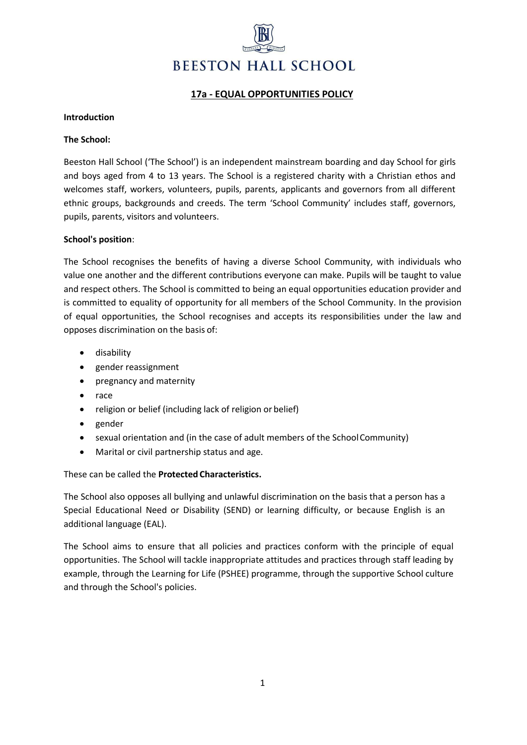

# **17a - EQUAL OPPORTUNITIES POLICY**

### **Introduction**

### **The School:**

Beeston Hall School ('The School') is an independent mainstream boarding and day School for girls and boys aged from 4 to 13 years. The School is a registered charity with a Christian ethos and welcomes staff, workers, volunteers, pupils, parents, applicants and governors from all different ethnic groups, backgrounds and creeds. The term 'School Community' includes staff, governors, pupils, parents, visitors and volunteers.

### **School's position**:

The School recognises the benefits of having a diverse School Community, with individuals who value one another and the different contributions everyone can make. Pupils will be taught to value and respect others. The School is committed to being an equal opportunities education provider and is committed to equality of opportunity for all members of the School Community. In the provision of equal opportunities, the School recognises and accepts its responsibilities under the law and opposes discrimination on the basis of:

- disability
- gender reassignment
- pregnancy and maternity
- race
- religion or belief (including lack of religion or belief)
- gender
- sexual orientation and (in the case of adult members of the School Community)
- Marital or civil partnership status and age.

# These can be called the **Protected Characteristics.**

The School also opposes all bullying and unlawful discrimination on the basis that a person has a Special Educational Need or Disability (SEND) or learning difficulty, or because English is an additional language (EAL).

The School aims to ensure that all policies and practices conform with the principle of equal opportunities. The School will tackle inappropriate attitudes and practices through staff leading by example, through the Learning for Life (PSHEE) programme, through the supportive School culture and through the School's policies.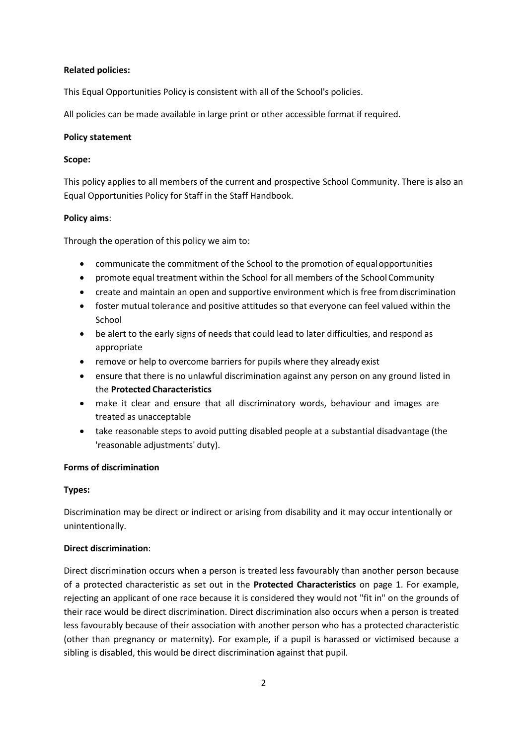# **Related policies:**

This Equal Opportunities Policy is consistent with all of the School's policies.

All policies can be made available in large print or other accessible format if required.

# **Policy statement**

# **Scope:**

This policy applies to all members of the current and prospective School Community. There is also an Equal Opportunities Policy for Staff in the Staff Handbook.

# **Policy aims**:

Through the operation of this policy we aim to:

- communicate the commitment of the School to the promotion of equalopportunities
- promote equal treatment within the School for all members of the SchoolCommunity
- create and maintain an open and supportive environment which is free fromdiscrimination
- foster mutual tolerance and positive attitudes so that everyone can feel valued within the School
- be alert to the early signs of needs that could lead to later difficulties, and respond as appropriate
- remove or help to overcome barriers for pupils where they already exist
- ensure that there is no unlawful discrimination against any person on any ground listed in the **Protected Characteristics**
- make it clear and ensure that all discriminatory words, behaviour and images are treated as unacceptable
- take reasonable steps to avoid putting disabled people at a substantial disadvantage (the 'reasonable adjustments' duty).

# **Forms of discrimination**

# **Types:**

Discrimination may be direct or indirect or arising from disability and it may occur intentionally or unintentionally.

# **Direct discrimination**:

Direct discrimination occurs when a person is treated less favourably than another person because of a protected characteristic as set out in the **Protected Characteristics** on page 1. For example, rejecting an applicant of one race because it is considered they would not "fit in" on the grounds of their race would be direct discrimination. Direct discrimination also occurs when a person is treated less favourably because of their association with another person who has a protected characteristic (other than pregnancy or maternity). For example, if a pupil is harassed or victimised because a sibling is disabled, this would be direct discrimination against that pupil.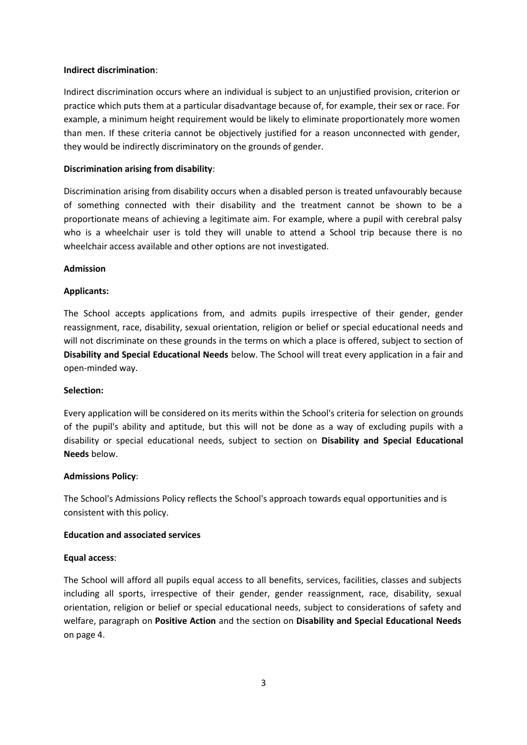#### **Indirect discrimination**:

Indirect discrimination occurs where an individual is subject to an unjustified provision, criterion or practice which puts them at a particular disadvantage because of, for example, their sex or race. For example, a minimum height requirement would be likely to eliminate proportionately more women than men. If these criteria cannot be objectively justified for a reason unconnected with gender, they would be indirectly discriminatory on the grounds of gender.

# **Discrimination arising from disability**:

Discrimination arising from disability occurs when a disabled person is treated unfavourably because of something connected with their disability and the treatment cannot be shown to be a proportionate means of achieving a legitimate aim. For example, where a pupil with cerebral palsy who is a wheelchair user is told they will unable to attend a School trip because there is no wheelchair access available and other options are not investigated.

### **Admission**

### **Applicants:**

The School accepts applications from, and admits pupils irrespective of their gender, gender reassignment, race, disability, sexual orientation, religion or belief or special educational needs and will not discriminate on these grounds in the terms on which a place is offered, subject to section of **Disability and Special Educational Needs** below. The School will treat every application in a fair and open-minded way.

#### **Selection:**

Every application will be considered on its merits within the School's criteria for selection on grounds of the pupil's ability and aptitude, but this will not be done as a way of excluding pupils with a disability or special educational needs, subject to section on **Disability and Special Educational Needs** below.

# **Admissions Policy**:

The School's Admissions Policy reflects the School's approach towards equal opportunities and is consistent with this policy.

# **Education and associated services**

# **Equal access**:

The School will afford all pupils equal access to all benefits, services, facilities, classes and subjects including all sports, irrespective of their gender, gender reassignment, race, disability, sexual orientation, religion or belief or special educational needs, subject to considerations of safety and welfare, paragraph on **Positive Action** and the section on **Disability and Special Educational Needs**  on page 4.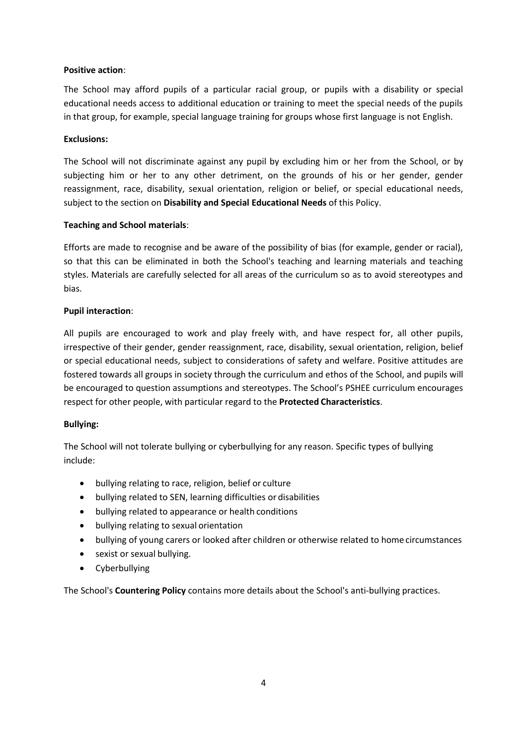# **Positive action**:

The School may afford pupils of a particular racial group, or pupils with a disability or special educational needs access to additional education or training to meet the special needs of the pupils in that group, for example, special language training for groups whose first language is not English.

# **Exclusions:**

The School will not discriminate against any pupil by excluding him or her from the School, or by subjecting him or her to any other detriment, on the grounds of his or her gender, gender reassignment, race, disability, sexual orientation, religion or belief, or special educational needs, subject to the section on **Disability and Special Educational Needs** of this Policy.

# **Teaching and School materials**:

Efforts are made to recognise and be aware of the possibility of bias (for example, gender or racial), so that this can be eliminated in both the School's teaching and learning materials and teaching styles. Materials are carefully selected for all areas of the curriculum so as to avoid stereotypes and bias.

# **Pupil interaction**:

All pupils are encouraged to work and play freely with, and have respect for, all other pupils, irrespective of their gender, gender reassignment, race, disability, sexual orientation, religion, belief or special educational needs, subject to considerations of safety and welfare. Positive attitudes are fostered towards all groups in society through the curriculum and ethos of the School, and pupils will be encouraged to question assumptions and stereotypes. The School's PSHEE curriculum encourages respect for other people, with particular regard to the **Protected Characteristics**.

# **Bullying:**

The School will not tolerate bullying or cyberbullying for any reason. Specific types of bullying include:

- bullying relating to race, religion, belief or culture
- bullying related to SEN, learning difficulties or disabilities
- bullying related to appearance or health conditions
- bullying relating to sexual orientation
- bullying of young carers or looked after children or otherwise related to home circumstances
- sexist or sexual bullying.
- Cyberbullying

The School's **Countering Policy** contains more details about the School's anti-bullying practices.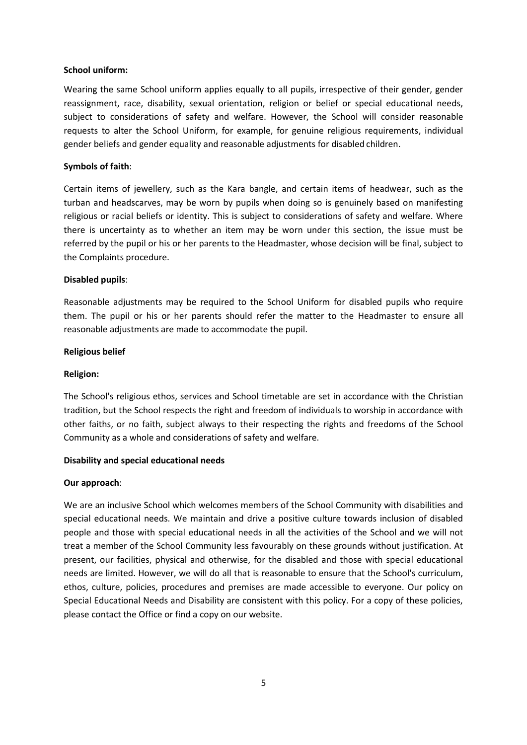### **School uniform:**

Wearing the same School uniform applies equally to all pupils, irrespective of their gender, gender reassignment, race, disability, sexual orientation, religion or belief or special educational needs, subject to considerations of safety and welfare. However, the School will consider reasonable requests to alter the School Uniform, for example, for genuine religious requirements, individual gender beliefs and gender equality and reasonable adjustments for disabled children.

### **Symbols of faith**:

Certain items of jewellery, such as the Kara bangle, and certain items of headwear, such as the turban and headscarves, may be worn by pupils when doing so is genuinely based on manifesting religious or racial beliefs or identity. This is subject to considerations of safety and welfare. Where there is uncertainty as to whether an item may be worn under this section, the issue must be referred by the pupil or his or her parents to the Headmaster, whose decision will be final, subject to the Complaints procedure.

### **Disabled pupils**:

Reasonable adjustments may be required to the School Uniform for disabled pupils who require them. The pupil or his or her parents should refer the matter to the Headmaster to ensure all reasonable adjustments are made to accommodate the pupil.

### **Religious belief**

#### **Religion:**

The School's religious ethos, services and School timetable are set in accordance with the Christian tradition, but the School respects the right and freedom of individuals to worship in accordance with other faiths, or no faith, subject always to their respecting the rights and freedoms of the School Community as a whole and considerations of safety and welfare.

# **Disability and special educational needs**

#### **Our approach**:

We are an inclusive School which welcomes members of the School Community with disabilities and special educational needs. We maintain and drive a positive culture towards inclusion of disabled people and those with special educational needs in all the activities of the School and we will not treat a member of the School Community less favourably on these grounds without justification. At present, our facilities, physical and otherwise, for the disabled and those with special educational needs are limited. However, we will do all that is reasonable to ensure that the School's curriculum, ethos, culture, policies, procedures and premises are made accessible to everyone. Our policy on Special Educational Needs and Disability are consistent with this policy. For a copy of these policies, please contact the Office or find a copy on our website.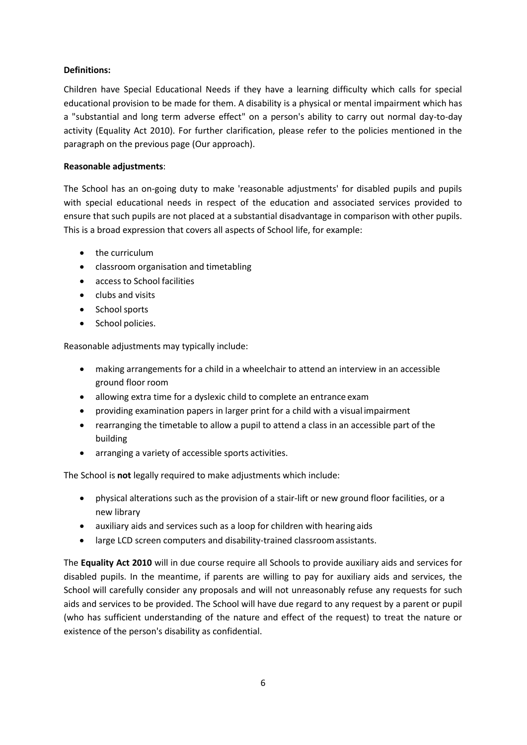# **Definitions:**

Children have Special Educational Needs if they have a learning difficulty which calls for special educational provision to be made for them. A disability is a physical or mental impairment which has a "substantial and long term adverse effect" on a person's ability to carry out normal day-to-day activity (Equality Act 2010). For further clarification, please refer to the policies mentioned in the paragraph on the previous page (Our approach).

# **Reasonable adjustments**:

The School has an on-going duty to make 'reasonable adjustments' for disabled pupils and pupils with special educational needs in respect of the education and associated services provided to ensure that such pupils are not placed at a substantial disadvantage in comparison with other pupils. This is a broad expression that covers all aspects of School life, for example:

- the curriculum
- classroom organisation and timetabling
- access to School facilities
- clubs and visits
- Schoolsports
- School policies.

Reasonable adjustments may typically include:

- making arrangements for a child in a wheelchair to attend an interview in an accessible ground floor room
- allowing extra time for a dyslexic child to complete an entrance exam
- providing examination papers in larger print for a child with a visual impairment
- rearranging the timetable to allow a pupil to attend a class in an accessible part of the building
- arranging a variety of accessible sports activities.

The School is **not** legally required to make adjustments which include:

- physical alterations such as the provision of a stair-lift or new ground floor facilities, or a new library
- auxiliary aids and services such as a loop for children with hearing aids
- large LCD screen computers and disability-trained classroomassistants.

The **Equality Act 2010** will in due course require all Schools to provide auxiliary aids and services for disabled pupils. In the meantime, if parents are willing to pay for auxiliary aids and services, the School will carefully consider any proposals and will not unreasonably refuse any requests for such aids and services to be provided. The School will have due regard to any request by a parent or pupil (who has sufficient understanding of the nature and effect of the request) to treat the nature or existence of the person's disability as confidential.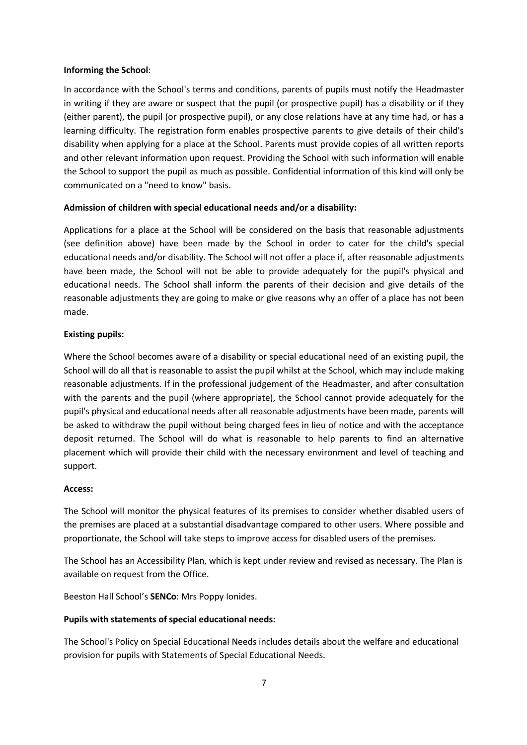### **Informing the School**:

In accordance with the School's terms and conditions, parents of pupils must notify the Headmaster in writing if they are aware or suspect that the pupil (or prospective pupil) has a disability or if they (either parent), the pupil (or prospective pupil), or any close relations have at any time had, or has a learning difficulty. The registration form enables prospective parents to give details of their child's disability when applying for a place at the School. Parents must provide copies of all written reports and other relevant information upon request. Providing the School with such information will enable the School to support the pupil as much as possible. Confidential information of this kind will only be communicated on a "need to know" basis.

### **Admission of children with special educational needs and/or a disability:**

Applications for a place at the School will be considered on the basis that reasonable adjustments (see definition above) have been made by the School in order to cater for the child's special educational needs and/or disability. The School will not offer a place if, after reasonable adjustments have been made, the School will not be able to provide adequately for the pupil's physical and educational needs. The School shall inform the parents of their decision and give details of the reasonable adjustments they are going to make or give reasons why an offer of a place has not been made.

### **Existing pupils:**

Where the School becomes aware of a disability or special educational need of an existing pupil, the School will do all that is reasonable to assist the pupil whilst at the School, which may include making reasonable adjustments. If in the professional judgement of the Headmaster, and after consultation with the parents and the pupil (where appropriate), the School cannot provide adequately for the pupil's physical and educational needs after all reasonable adjustments have been made, parents will be asked to withdraw the pupil without being charged fees in lieu of notice and with the acceptance deposit returned. The School will do what is reasonable to help parents to find an alternative placement which will provide their child with the necessary environment and level of teaching and support.

#### **Access:**

The School will monitor the physical features of its premises to consider whether disabled users of the premises are placed at a substantial disadvantage compared to other users. Where possible and proportionate, the School will take steps to improve access for disabled users of the premises.

The School has an Accessibility Plan, which is kept under review and revised as necessary. The Plan is available on request from the Office.

Beeston Hall School's **SENCo**: Mrs Poppy Ionides.

#### **Pupils with statements of special educational needs:**

The School's Policy on Special Educational Needs includes details about the welfare and educational provision for pupils with Statements of Special Educational Needs.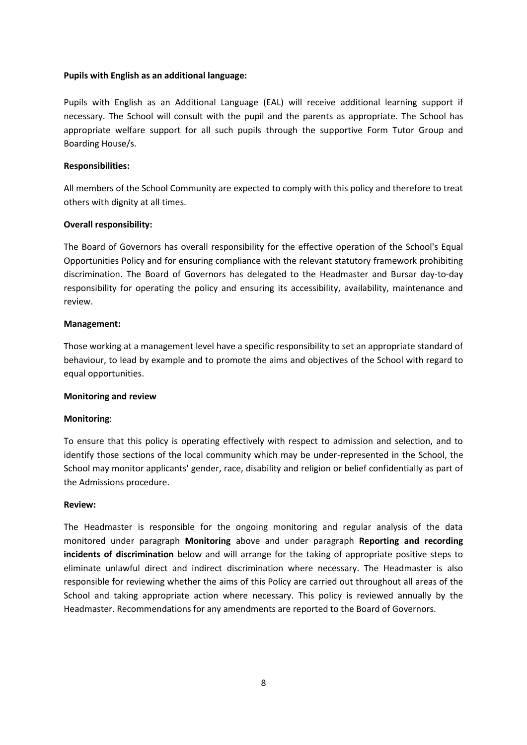### **Pupils with English as an additional language:**

Pupils with English as an Additional Language (EAL) will receive additional learning support if necessary. The School will consult with the pupil and the parents as appropriate. The School has appropriate welfare support for all such pupils through the supportive Form Tutor Group and Boarding House/s.

#### **Responsibilities:**

All members of the School Community are expected to comply with this policy and therefore to treat others with dignity at all times.

### **Overall responsibility:**

The Board of Governors has overall responsibility for the effective operation of the School's Equal Opportunities Policy and for ensuring compliance with the relevant statutory framework prohibiting discrimination. The Board of Governors has delegated to the Headmaster and Bursar day-to-day responsibility for operating the policy and ensuring its accessibility, availability, maintenance and review.

### **Management:**

Those working at a management level have a specific responsibility to set an appropriate standard of behaviour, to lead by example and to promote the aims and objectives of the School with regard to equal opportunities.

#### **Monitoring and review**

# **Monitoring**:

To ensure that this policy is operating effectively with respect to admission and selection, and to identify those sections of the local community which may be under-represented in the School, the School may monitor applicants' gender, race, disability and religion or belief confidentially as part of the Admissions procedure.

#### **Review:**

The Headmaster is responsible for the ongoing monitoring and regular analysis of the data monitored under paragraph **Monitoring** above and under paragraph **Reporting and recording incidents of discrimination** below and will arrange for the taking of appropriate positive steps to eliminate unlawful direct and indirect discrimination where necessary. The Headmaster is also responsible for reviewing whether the aims of this Policy are carried out throughout all areas of the School and taking appropriate action where necessary. This policy is reviewed annually by the Headmaster. Recommendations for any amendments are reported to the Board of Governors.